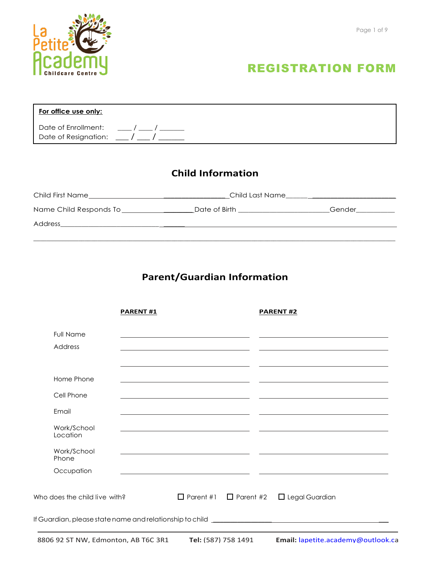

| For office use only:                                                                                                                          |  |
|-----------------------------------------------------------------------------------------------------------------------------------------------|--|
| Date of Enrollment: $\frac{1}{2}$ / $\frac{1}{2}$ / $\frac{1}{2}$<br>Date of Resignation: $\frac{\ }{\ }$ / $\frac{\ }{\ }$ / $\frac{\ }{\ }$ |  |
|                                                                                                                                               |  |

## **Child Information**

| Child First Name                   | Child Last Name |        |  |  |  |
|------------------------------------|-----------------|--------|--|--|--|
| Name Child Responds To ___________ | Date of Birth   | Gender |  |  |  |
| Address                            |                 |        |  |  |  |
|                                    |                 |        |  |  |  |

## **Parent/Guardian Information**

|                                                                                   | <b>PARENT#1</b> |                                                                     | <b>PARENT#2</b>                                         |  |
|-----------------------------------------------------------------------------------|-----------------|---------------------------------------------------------------------|---------------------------------------------------------|--|
| <b>Full Name</b><br>Address                                                       |                 |                                                                     |                                                         |  |
| Home Phone<br>Cell Phone                                                          |                 | <u> 1980 - Andrea Andrew Maria (h. 1980).</u>                       |                                                         |  |
| Email                                                                             |                 | <u> 1989 - Andrea Andrew Maria (h. 1989).</u>                       |                                                         |  |
| Work/School<br>Location<br>Work/School                                            |                 |                                                                     |                                                         |  |
| Phone<br>Occupation                                                               |                 | <u> 1989 - Andrea Stadt Britain, amerikansk politiker (d. 1989)</u> |                                                         |  |
| Who does the child live with?                                                     |                 |                                                                     | $\Box$ Parent #1 $\Box$ Parent #2 $\Box$ Legal Guardian |  |
| If Guardian, please state name and relationship to child ________________________ |                 |                                                                     |                                                         |  |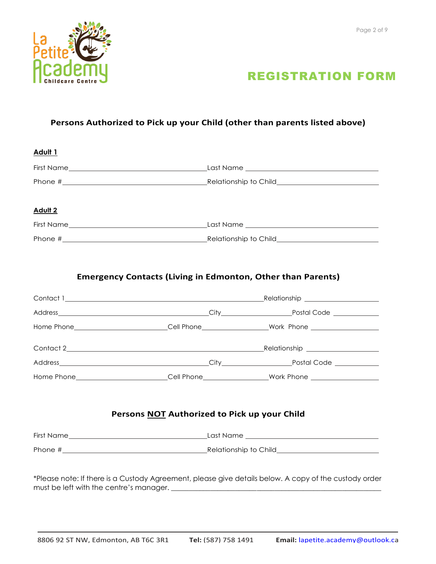



### **Persons Authorized to Pick up your Child (other than parents listed above)**

| Adult <sub>1</sub>                                                                                    |                                              |  |  |
|-------------------------------------------------------------------------------------------------------|----------------------------------------------|--|--|
|                                                                                                       |                                              |  |  |
|                                                                                                       |                                              |  |  |
| <b>Adult 2</b>                                                                                        |                                              |  |  |
|                                                                                                       |                                              |  |  |
|                                                                                                       |                                              |  |  |
| <b>Emergency Contacts (Living in Edmonton, Other than Parents)</b>                                    |                                              |  |  |
|                                                                                                       |                                              |  |  |
|                                                                                                       |                                              |  |  |
| Home Phone___________________________Cell Phone_________________Work Phone _________________________  |                                              |  |  |
|                                                                                                       |                                              |  |  |
|                                                                                                       |                                              |  |  |
| Home Phone___________________________Cell Phone_________________Work Phone ________________________   |                                              |  |  |
|                                                                                                       | Persons NOT Authorized to Pick up your Child |  |  |
|                                                                                                       |                                              |  |  |
|                                                                                                       |                                              |  |  |
| *Please note: If there is a Custody Agreement, please give details below. A copy of the custody order |                                              |  |  |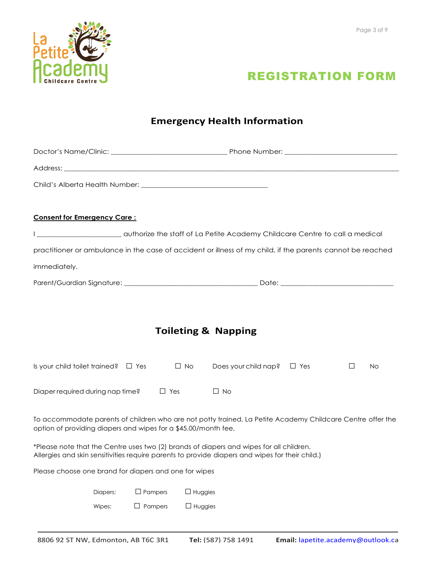



## **Emergency Health Information**

| Address: Address: Address: Address: Address: Address: Address: Address: Address: Address: Address: A |          |                |                |                                                                                                                                                                                            |  |   |    |
|------------------------------------------------------------------------------------------------------|----------|----------------|----------------|--------------------------------------------------------------------------------------------------------------------------------------------------------------------------------------------|--|---|----|
|                                                                                                      |          |                |                |                                                                                                                                                                                            |  |   |    |
|                                                                                                      |          |                |                |                                                                                                                                                                                            |  |   |    |
| <b>Consent for Emergency Care:</b>                                                                   |          |                |                |                                                                                                                                                                                            |  |   |    |
|                                                                                                      |          |                |                | authorize the staff of La Petite Academy Childcare Centre to call a medical                                                                                                                |  |   |    |
|                                                                                                      |          |                |                | practitioner or ambulance in the case of accident or illness of my child, if the parents cannot be reached                                                                                 |  |   |    |
| immediately.                                                                                         |          |                |                |                                                                                                                                                                                            |  |   |    |
|                                                                                                      |          |                |                |                                                                                                                                                                                            |  |   |    |
|                                                                                                      |          |                |                |                                                                                                                                                                                            |  |   |    |
|                                                                                                      |          |                |                |                                                                                                                                                                                            |  |   |    |
|                                                                                                      |          |                |                | <b>Toileting &amp; Napping</b>                                                                                                                                                             |  |   |    |
| Is your child toilet trained? $\Box$ Yes                                                             |          |                | $\Box$ No      | Does your child nap? $\Box$ Yes                                                                                                                                                            |  | П | No |
| Diaper required during nap time?                                                                     |          | $\Box$ Yes     |                | $\Box$ No                                                                                                                                                                                  |  |   |    |
| option of providing diapers and wipes for a \$45.00/month fee,                                       |          |                |                | To accommodate parents of children who are not potty trained, La Petite Academy Childcare Centre offer the                                                                                 |  |   |    |
|                                                                                                      |          |                |                | *Please note that the Centre uses two (2) brands of diapers and wipes for all children.<br>Allergies and skin sensitivities require parents to provide diapers and wipes for their child.) |  |   |    |
| Please choose one brand for diapers and one for wipes                                                |          |                |                |                                                                                                                                                                                            |  |   |    |
|                                                                                                      | Diapers: | $\Box$ Pampers | $\Box$ Huggies |                                                                                                                                                                                            |  |   |    |
|                                                                                                      | Wipes:   | $\Box$ Pampers | $\Box$ Huggies |                                                                                                                                                                                            |  |   |    |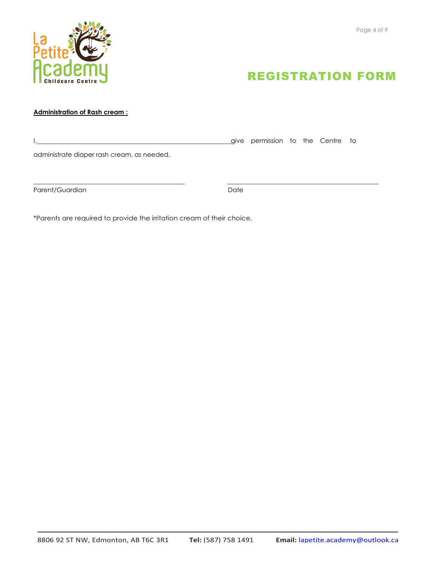



### **Administration of Rash cream :**

|                                            | give permission to the Centre to |  |  |
|--------------------------------------------|----------------------------------|--|--|
| administrate diaper rash cream, as needed. |                                  |  |  |
|                                            |                                  |  |  |

Parent/Guardian Date

\*Parents are required to provide the irritation cream of their choice.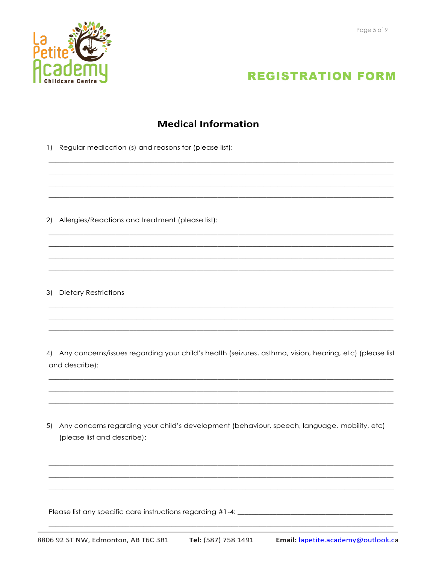



### **Medical Information**

1) Regular medication (s) and reasons for (please list):

2) Allergies/Reactions and treatment (please list):

3) Dietary Restrictions

4) Any concerns/issues regarding your child's health (seizures, asthma, vision, hearing, etc) (please list and describe):

5) Any concerns regarding your child's development (behaviour, speech, language, mobility, etc) (please list and describe):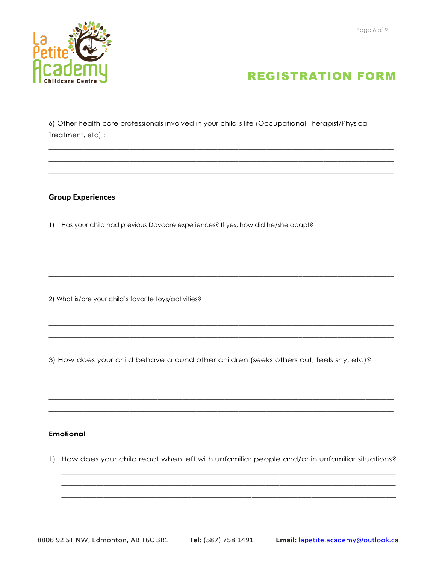



6) Other health care professionals involved in your child's life (Occupational Therapist/Physical Treatment, etc) :

#### **Group Experiences**

1) Has your child had previous Daycare experiences? If yes, how did he/she adapt?

2) What is/are your child's favorite toys/activities?

3) How does your child behave around other children (seeks others out, feels shy, etc)?

#### **Emotional**

1) How does your child react when left with unfamiliar people and/or in unfamiliar situations?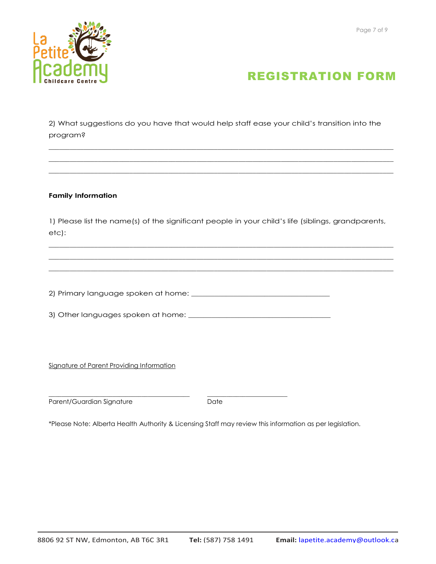

2) What suggestions do you have that would help staff ease your child's transition into the program?

 $\_$  ,  $\_$  ,  $\_$  ,  $\_$  ,  $\_$  ,  $\_$  ,  $\_$  ,  $\_$  ,  $\_$  ,  $\_$  ,  $\_$  ,  $\_$  ,  $\_$  ,  $\_$  ,  $\_$  ,  $\_$  ,  $\_$  ,  $\_$  ,  $\_$  ,  $\_$  ,  $\_$  ,  $\_$  ,  $\_$  ,  $\_$  ,  $\_$  ,  $\_$  ,  $\_$  ,  $\_$  ,  $\_$  ,  $\_$  ,  $\_$  ,  $\_$  ,  $\_$  ,  $\_$  ,  $\_$  ,  $\_$  ,  $\_$  ,  $\_$  ,  $\_$  ,  $\_$  ,  $\_$  ,  $\_$  ,  $\_$  ,  $\_$  ,  $\_$  ,  $\_$  ,  $\_$  ,  $\_$  ,  $\_$  ,  $\_$  ,  $\_$  ,  $\_$  ,  $\_$  ,  $\_$  ,  $\_$  ,  $\_$  ,  $\_$  ,  $\_$  ,  $\_$  ,  $\_$  ,  $\_$  ,  $\_$  ,  $\_$  ,  $\_$  ,  $\_$  ,  $\_$  ,  $\_$  ,  $\_$  ,  $\_$  ,  $\_$  ,  $\_$  ,  $\_$  ,  $\_$  ,  $\_$  ,  $\_$  ,  $\_$  ,  $\_$  ,  $\_$  ,  $\_$  ,  $\_$  ,  $\_$  ,  $\_$  ,  $\_$  ,  $\_$  ,  $\_$  ,  $\_$  ,  $\_$  ,  $\_$  ,  $\_$  ,  $\_$  ,  $\_$  ,  $\_$  ,  $\_$  ,  $\_$  ,  $\_$  ,  $\_$  ,  $\_$  ,  $\_$  ,  $\_$  ,  $\_$  ,  $\_$  ,  $\_$  ,  $\_$  ,  $\_$  ,  $\_$  ,  $\_$  ,  $\_$  ,  $\_$  ,  $\_$  ,  $\_$  ,  $\_$  ,

#### **Family Information**

1) Please list the name(s) of the significant people in your child's life (siblings, grandparents, etc):

 $\_$  ,  $\_$  ,  $\_$  ,  $\_$  ,  $\_$  ,  $\_$  ,  $\_$  ,  $\_$  ,  $\_$  ,  $\_$  ,  $\_$  ,  $\_$  ,  $\_$  ,  $\_$  ,  $\_$  ,  $\_$  ,  $\_$  ,  $\_$  ,  $\_$  ,  $\_$  ,  $\_$  ,  $\_$  ,  $\_$  ,  $\_$  ,  $\_$  ,  $\_$  ,  $\_$  ,  $\_$  ,  $\_$  ,  $\_$  ,  $\_$  ,  $\_$  ,  $\_$  ,  $\_$  ,  $\_$  ,  $\_$  ,  $\_$  ,  $\_$  ,  $\_$  ,  $\_$  ,  $\_$  ,  $\_$  ,  $\_$  ,  $\_$  ,  $\_$  ,  $\_$  ,  $\_$  ,  $\_$  ,  $\_$  ,  $\_$  ,  $\_$  ,  $\_$  ,  $\_$  ,  $\_$  ,  $\_$  ,  $\_$  ,  $\_$  ,  $\_$  ,  $\_$  ,  $\_$  ,  $\_$  ,  $\_$  ,  $\_$  ,  $\_$  ,  $\_$  ,  $\_$  ,  $\_$  ,  $\_$  ,  $\_$  ,  $\_$  ,  $\_$  ,  $\_$  ,  $\_$  ,  $\_$  ,  $\Box$ 

2) Primary language spoken at home: \_\_\_\_\_\_\_\_\_\_\_\_\_\_\_\_\_\_\_\_\_\_\_\_\_\_\_\_\_\_\_\_\_\_\_\_

3) Other languages spoken at home: \_\_\_\_\_\_\_\_\_\_\_\_\_\_\_\_\_\_\_\_\_\_\_\_\_\_\_\_\_\_\_\_\_\_\_\_\_

\_\_\_\_\_\_\_\_\_\_\_\_\_\_\_\_\_\_\_\_\_\_\_\_\_\_\_\_\_\_\_\_\_\_\_\_\_\_\_\_\_\_\_\_ \_\_\_\_\_\_\_\_\_\_\_\_\_\_\_\_\_\_\_\_\_\_\_\_\_

Signature of Parent Providing Information

Parent/Guardian Signature **Date** Date

\*Please Note: Alberta Health Authority & Licensing Staff may review this information as per legislation.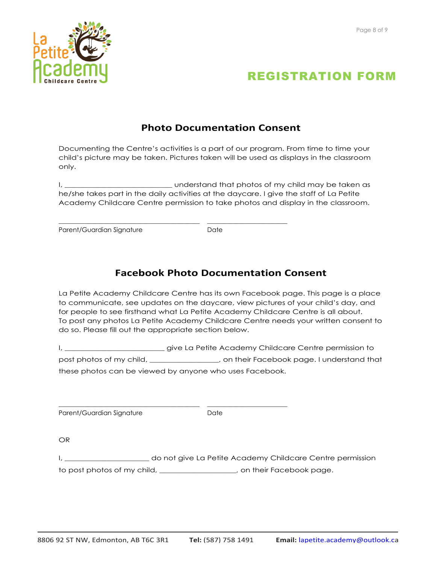



### **Photo Documentation Consent**

Documenting the Centre's activities is a part of our program. From time to time your child's picture may be taken. Pictures taken will be used as displays in the classroom only.

I, \_\_\_\_\_\_\_\_\_\_\_\_\_\_\_\_\_\_\_\_\_\_\_\_\_\_\_\_ understand that photos of my child may be taken as he/she takes part in the daily activities at the daycare. I give the staff of La Petite Academy Childcare Centre permission to take photos and display in the classroom.

Parent/Guardian Signature **Date** Date

\_\_\_\_\_\_\_\_\_\_\_\_\_\_\_\_\_\_\_\_\_\_\_\_\_\_\_\_\_\_\_\_\_\_\_\_\_\_\_\_\_\_\_\_ \_\_\_\_\_\_\_\_\_\_\_\_\_\_\_\_\_\_\_\_\_\_\_\_\_

\_\_\_\_\_\_\_\_\_\_\_\_\_\_\_\_\_\_\_\_\_\_\_\_\_\_\_\_\_\_\_\_\_\_\_\_\_\_\_\_\_\_\_\_ \_\_\_\_\_\_\_\_\_\_\_\_\_\_\_\_\_\_\_\_\_\_\_\_\_

## **Facebook Photo Documentation Consent**

La Petite Academy Childcare Centre has its own Facebook page. This page is a place to communicate, see updates on the daycare, view pictures of your child's day, and for people to see firsthand what La Petite Academy Childcare Centre is all about. To post any photos La Petite Academy Childcare Centre needs your written consent to do so. Please fill out the appropriate section below.

I, \_\_\_\_\_\_\_\_\_\_\_\_\_\_\_\_\_\_\_\_\_\_\_\_\_\_\_\_\_give La Petite Academy Childcare Centre permission to post photos of my child, \_\_\_\_\_\_\_\_\_\_\_\_\_\_\_, on their Facebook page. I understand that these photos can be viewed by anyone who uses Facebook.

Parent/Guardian Signature **Date** Date

OR

I, \_\_\_\_\_\_\_\_\_\_\_\_\_\_\_\_\_\_\_\_\_\_\_ do not give La Petite Academy Childcare Centre permission to post photos of my child, \_\_\_\_\_\_\_\_\_\_\_\_\_\_\_\_, on their Facebook page.